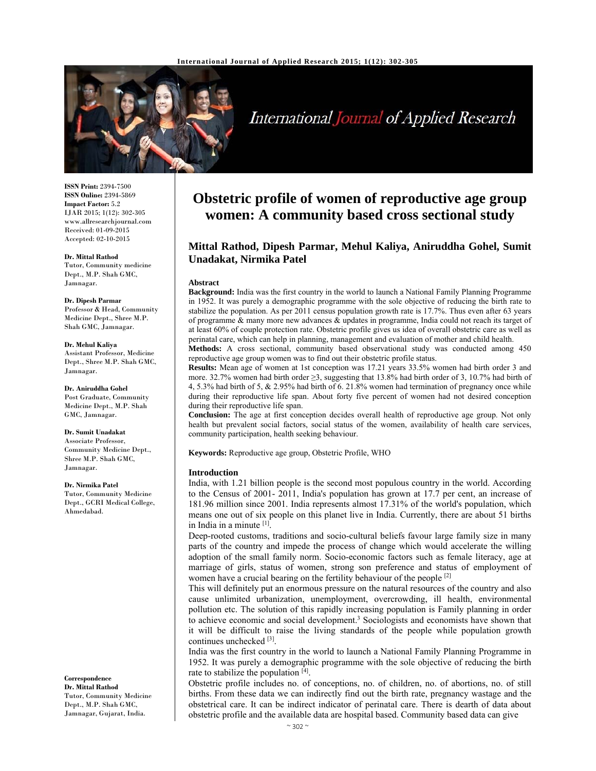

# International Journal of Applied Research

**ISSN Print:** 2394-7500 **ISSN Online:** 2394-5869 **Impact Factor:** 5.2 IJAR 2015; 1(12): 302-305 www.allresearchjournal.com Received: 01-09-2015 Accepted: 02-10-2015

**Dr. Mittal Rathod**  Tutor, Community medicine Dept., M.P. Shah GMC, Jamnagar.

**Dr. Dipesh Parmar**  Professor & Head, Community Medicine Dept., Shree M.P. Shah GMC, Jamnagar.

**Dr. Mehul Kaliya**  Assistant Professor, Medicine Dept., Shree M.P. Shah GMC, Jamnagar.

**Dr. Aniruddha Gohel**  Post Graduate, Community Medicine Dept., M.P. Shah GMC, Jamnagar.

**Dr. Sumit Unadakat**  Associate Professor, Community Medicine Dept., Shree M.P. Shah GMC, Jamnagar.

**Dr. Nirmika Patel**  Tutor, Community Medicine Dept., GCRI Medical College,

Ahmedabad.

**Correspondence Dr. Mittal Rathod**  Tutor, Community Medicine Dept., M.P. Shah GMC, Jamnagar, Gujarat, India.

## **Obstetric profile of women of reproductive age group women: A community based cross sectional study**

### **Mittal Rathod, Dipesh Parmar, Mehul Kaliya, Aniruddha Gohel, Sumit Unadakat, Nirmika Patel**

#### **Abstract**

**Background:** India was the first country in the world to launch a National Family Planning Programme in 1952. It was purely a demographic programme with the sole objective of reducing the birth rate to stabilize the population. As per 2011 census population growth rate is 17.7%. Thus even after 63 years of programme & many more new advances & updates in programme, India could not reach its target of at least 60% of couple protection rate. Obstetric profile gives us idea of overall obstetric care as well as perinatal care, which can help in planning, management and evaluation of mother and child health.

**Methods:** A cross sectional, community based observational study was conducted among 450 reproductive age group women was to find out their obstetric profile status.

**Results:** Mean age of women at 1st conception was 17.21 years 33.5% women had birth order 3 and more. 32.7% women had birth order  $\geq$ 3, suggesting that 13.8% had birth order of 3, 10.7% had birth of 4, 5.3% had birth of 5, & 2.95% had birth of 6. 21.8% women had termination of pregnancy once while during their reproductive life span. About forty five percent of women had not desired conception during their reproductive life span.

**Conclusion:** The age at first conception decides overall health of reproductive age group. Not only health but prevalent social factors, social status of the women, availability of health care services, community participation, health seeking behaviour.

**Keywords:** Reproductive age group, Obstetric Profile, WHO

#### **Introduction**

India, with 1.21 billion people is the second most populous country in the world. According to the Census of 2001- 2011, India's population has grown at 17.7 per cent, an increase of 181.96 million since 2001. India represents almost 17.31% of the world's population, which means one out of six people on this planet live in India. Currently, there are about 51 births in India in a minute [1].

Deep-rooted customs, traditions and socio-cultural beliefs favour large family size in many parts of the country and impede the process of change which would accelerate the willing adoption of the small family norm. Socio-economic factors such as female literacy, age at marriage of girls, status of women, strong son preference and status of employment of women have a crucial bearing on the fertility behaviour of the people [2].

This will definitely put an enormous pressure on the natural resources of the country and also cause unlimited urbanization, unemployment, overcrowding, ill health, environmental pollution etc. The solution of this rapidly increasing population is Family planning in order to achieve economic and social development.<sup>3</sup> Sociologists and economists have shown that it will be difficult to raise the living standards of the people while population growth continues unchecked [3].

India was the first country in the world to launch a National Family Planning Programme in 1952. It was purely a demographic programme with the sole objective of reducing the birth rate to stabilize the population [4].

Obstetric profile includes no. of conceptions, no. of children, no. of abortions, no. of still births. From these data we can indirectly find out the birth rate, pregnancy wastage and the obstetrical care. It can be indirect indicator of perinatal care. There is dearth of data about obstetric profile and the available data are hospital based. Community based data can give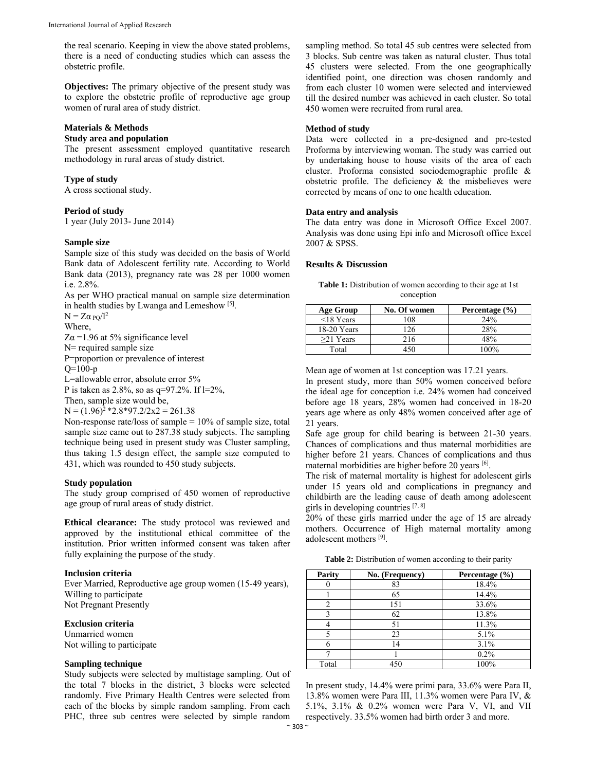the real scenario. Keeping in view the above stated problems, there is a need of conducting studies which can assess the obstetric profile.

**Objectives:** The primary objective of the present study was to explore the obstetric profile of reproductive age group women of rural area of study district.

#### **Materials & Methods**

#### **Study area and population**

The present assessment employed quantitative research methodology in rural areas of study district.

#### **Type of study**

A cross sectional study.

#### **Period of study**

1 year (July 2013- June 2014)

#### **Sample size**

Sample size of this study was decided on the basis of World Bank data of Adolescent fertility rate. According to World Bank data (2013), pregnancy rate was 28 per 1000 women i.e. 2.8%.

As per WHO practical manual on sample size determination in health studies by Lwanga and Lemeshow [5].

 $N = Z\alpha_{\rm PO}/l^2$ 

Where,

 $Z\alpha$  =1.96 at 5% significance level N= required sample size

P=proportion or prevalence of interest

 $Q=100-p$ 

L=allowable error, absolute error 5%

P is taken as 2.8%, so as q=97.2%. If l=2%,

Then, sample size would be,

 $N = (1.96)^{2}$  \*2.8 \*97.2/2x2 = 261.38

Non-response rate/loss of sample = 10% of sample size, total sample size came out to 287.38 study subjects. The sampling technique being used in present study was Cluster sampling, thus taking 1.5 design effect, the sample size computed to 431, which was rounded to 450 study subjects.

#### **Study population**

The study group comprised of 450 women of reproductive age group of rural areas of study district.

**Ethical clearance:** The study protocol was reviewed and approved by the institutional ethical committee of the institution. Prior written informed consent was taken after fully explaining the purpose of the study.

#### **Inclusion criteria**

Ever Married, Reproductive age group women (15-49 years), Willing to participate Not Pregnant Presently

#### **Exclusion criteria**

Unmarried women Not willing to participate

#### **Sampling technique**

Study subjects were selected by multistage sampling. Out of the total 7 blocks in the district, 3 blocks were selected randomly. Five Primary Health Centres were selected from each of the blocks by simple random sampling. From each PHC, three sub centres were selected by simple random sampling method. So total 45 sub centres were selected from 3 blocks. Sub centre was taken as natural cluster. Thus total 45 clusters were selected. From the one geographically identified point, one direction was chosen randomly and from each cluster 10 women were selected and interviewed till the desired number was achieved in each cluster. So total 450 women were recruited from rural area.

#### **Method of study**

Data were collected in a pre-designed and pre-tested Proforma by interviewing woman. The study was carried out by undertaking house to house visits of the area of each cluster. Proforma consisted sociodemographic profile & obstetric profile. The deficiency  $\&$  the misbelieves were corrected by means of one to one health education.

#### **Data entry and analysis**

The data entry was done in Microsoft Office Excel 2007. Analysis was done using Epi info and Microsoft office Excel 2007 & SPSS.

#### **Results & Discussion**

Table 1: Distribution of women according to their age at 1st conception

| <b>Age Group</b> | No. Of women | Percentage $(\% )$ |
|------------------|--------------|--------------------|
| $\leq$ 18 Years  | 108          | 24%                |
| 18-20 Years      | 126          | 28%                |
| $>21$ Years      | 216          | 48%                |
| Total            |              | $100\%$            |

Mean age of women at 1st conception was 17.21 years.

In present study, more than 50% women conceived before the ideal age for conception i.e. 24% women had conceived before age 18 years, 28% women had conceived in 18-20 years age where as only 48% women conceived after age of 21 years.

Safe age group for child bearing is between 21-30 years. Chances of complications and thus maternal morbidities are higher before 21 years. Chances of complications and thus maternal morbidities are higher before 20 years [6].

The risk of maternal mortality is highest for adolescent girls under 15 years old and complications in pregnancy and childbirth are the leading cause of death among adolescent girls in developing countries [7, 8]

20% of these girls married under the age of 15 are already mothers. Occurrence of High maternal mortality among adolescent mothers [9].

**Table 2:** Distribution of women according to their parity

| Parity | No. (Frequency) | Percentage (%) |
|--------|-----------------|----------------|
|        | 83              | 18.4%          |
|        | 65              | 14.4%          |
|        | 151             | 33.6%          |
|        | 62              | 13.8%          |
|        | 51              | 11.3%          |
|        | 23              | 5.1%           |
|        | 14              | 3.1%           |
|        |                 | 0.2%           |
| Total  | 450             | 100%           |

In present study, 14.4% were primi para, 33.6% were Para II, 13.8% women were Para III, 11.3% women were Para IV, & 5.1%, 3.1% & 0.2% women were Para V, VI, and VII respectively. 33.5% women had birth order 3 and more.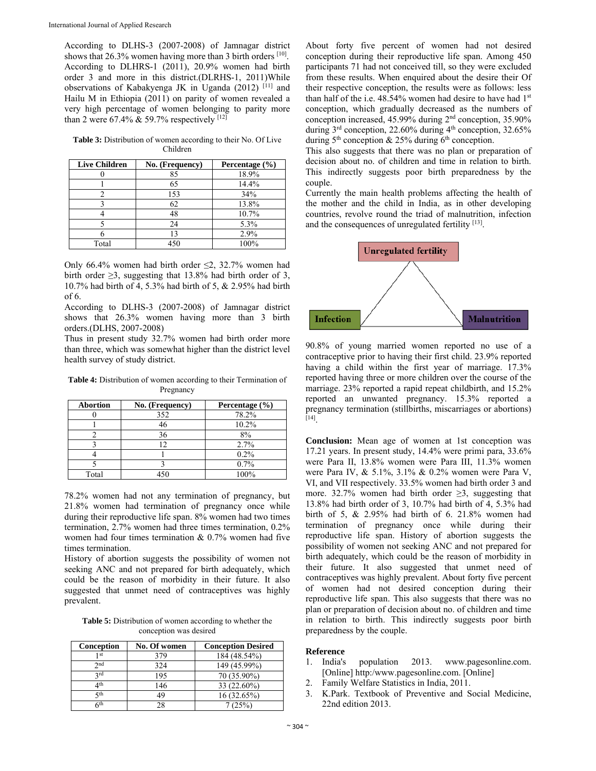According to DLHS-3 (2007-2008) of Jamnagar district shows that 26.3% women having more than 3 birth orders [10]. According to DLHRS-1 (2011), 20.9% women had birth order 3 and more in this district.(DLRHS-1, 2011)While observations of Kabakyenga JK in Uganda (2012) [11] and Hailu M in Ethiopia (2011) on parity of women revealed a very high percentage of women belonging to parity more than 2 were 67.4%  $& 59.7\%$  respectively [12]

**Table 3:** Distribution of women according to their No. Of Live Children

| <b>Live Children</b> | No. (Frequency) | Percentage $(\% )$ |
|----------------------|-----------------|--------------------|
|                      | 85              | 18.9%              |
|                      | 65              | 14.4%              |
|                      | 153             | 34%                |
|                      | 62              | 13.8%              |
|                      | 48              | 10.7%              |
|                      | 24              | 5.3%               |
|                      | 13              | 2.9%               |
| Total                | 450             | 100%               |

Only 66.4% women had birth order  $\leq$ 2, 32.7% women had birth order  $\geq 3$ , suggesting that 13.8% had birth order of 3, 10.7% had birth of 4, 5.3% had birth of 5, & 2.95% had birth of 6.

According to DLHS-3 (2007-2008) of Jamnagar district shows that 26.3% women having more than 3 birth orders.(DLHS, 2007-2008)

Thus in present study 32.7% women had birth order more than three, which was somewhat higher than the district level health survey of study district.

**Table 4:** Distribution of women according to their Termination of Pregnancy

| <b>Abortion</b> | No. (Frequency) | Percentage (%) |
|-----------------|-----------------|----------------|
|                 | 352             | 78.2%          |
|                 | 46              | 10.2%          |
|                 | 36              | 8%             |
|                 | 12              | 2.7%           |
|                 |                 | $0.2\%$        |
|                 |                 | 0.7%           |
| Total           | 451             | 100%           |

78.2% women had not any termination of pregnancy, but 21.8% women had termination of pregnancy once while during their reproductive life span. 8% women had two times termination, 2.7% women had three times termination, 0.2% women had four times termination  $& 0.7\%$  women had five times termination.

History of abortion suggests the possibility of women not seeking ANC and not prepared for birth adequately, which could be the reason of morbidity in their future. It also suggested that unmet need of contraceptives was highly prevalent.

**Table 5:** Distribution of women according to whether the conception was desired

| Conception | No. Of women | <b>Conception Desired</b> |
|------------|--------------|---------------------------|
| 1 st       | 379          | 184 (48.54%)              |
| 2nd        | 324          | 149 (45.99%)              |
| <b>2rd</b> | 195          | 70 (35.90%)               |
| ⊿th        | 146          | 33 (22.60%)               |
| ςth        | 49           | 16 (32.65%)               |
| 6th        |              | 7(25%)                    |

About forty five percent of women had not desired conception during their reproductive life span. Among 450 participants 71 had not conceived till, so they were excluded from these results. When enquired about the desire their Of their respective conception, the results were as follows: less than half of the i.e.  $48.54\%$  women had desire to have had  $1<sup>st</sup>$ conception, which gradually decreased as the numbers of conception increased, 45.99% during 2nd conception, 35.90% during  $3<sup>rd</sup>$  conception, 22.60% during  $4<sup>th</sup>$  conception, 32.65% during  $5<sup>th</sup>$  conception & 25% during  $6<sup>th</sup>$  conception.

This also suggests that there was no plan or preparation of decision about no. of children and time in relation to birth. This indirectly suggests poor birth preparedness by the couple.

Currently the main health problems affecting the health of the mother and the child in India, as in other developing countries, revolve round the triad of malnutrition, infection and the consequences of unregulated fertility [13].



90.8% of young married women reported no use of a contraceptive prior to having their first child. 23.9% reported having a child within the first year of marriage. 17.3% reported having three or more children over the course of the marriage. 23% reported a rapid repeat childbirth, and 15.2% reported an unwanted pregnancy. 15.3% reported a pregnancy termination (stillbirths, miscarriages or abortions)  $[14]$ 

**Conclusion:** Mean age of women at 1st conception was 17.21 years. In present study, 14.4% were primi para, 33.6% were Para II, 13.8% women were Para III, 11.3% women were Para IV, & 5.1%, 3.1% & 0.2% women were Para V, VI, and VII respectively. 33.5% women had birth order 3 and more. 32.7% women had birth order  $\geq$ 3, suggesting that 13.8% had birth order of 3, 10.7% had birth of 4, 5.3% had birth of 5, & 2.95% had birth of 6. 21.8% women had termination of pregnancy once while during their reproductive life span. History of abortion suggests the possibility of women not seeking ANC and not prepared for birth adequately, which could be the reason of morbidity in their future. It also suggested that unmet need of contraceptives was highly prevalent. About forty five percent of women had not desired conception during their reproductive life span. This also suggests that there was no plan or preparation of decision about no. of children and time in relation to birth. This indirectly suggests poor birth preparedness by the couple.

#### **Reference**

- 1. India's population 2013. www.pagesonline.com. [Online] http:/www.pagesonline.com. [Online]
- 2. Family Welfare Statistics in India, 2011.
- 3. K.Park. Textbook of Preventive and Social Medicine, 22nd edition 2013.